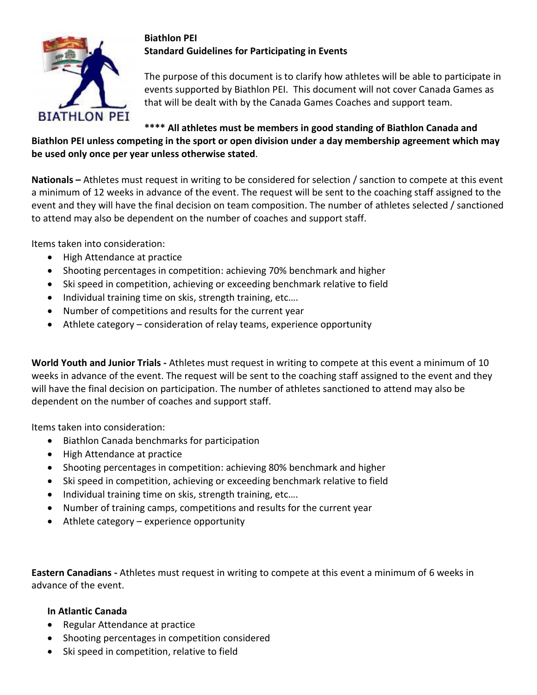

## **Biathlon PEI Standard Guidelines for Participating in Events**

The purpose of this document is to clarify how athletes will be able to participate in events supported by Biathlon PEI. This document will not cover Canada Games as that will be dealt with by the Canada Games Coaches and support team.

# **\*\*\*\* All athletes must be members in good standing of Biathlon Canada and Biathlon PEI unless competing in the sport or open division under a day membership agreement which may be used only once per year unless otherwise stated**.

**Nationals –** Athletes must request in writing to be considered for selection / sanction to compete at this event a minimum of 12 weeks in advance of the event. The request will be sent to the coaching staff assigned to the event and they will have the final decision on team composition. The number of athletes selected / sanctioned to attend may also be dependent on the number of coaches and support staff.

Items taken into consideration:

- High Attendance at practice
- Shooting percentages in competition: achieving 70% benchmark and higher
- Ski speed in competition, achieving or exceeding benchmark relative to field
- Individual training time on skis, strength training, etc....
- Number of competitions and results for the current year
- Athlete category consideration of relay teams, experience opportunity

**World Youth and Junior Trials -** Athletes must request in writing to compete at this event a minimum of 10 weeks in advance of the event. The request will be sent to the coaching staff assigned to the event and they will have the final decision on participation. The number of athletes sanctioned to attend may also be dependent on the number of coaches and support staff.

Items taken into consideration:

- Biathlon Canada benchmarks for participation
- High Attendance at practice
- Shooting percentages in competition: achieving 80% benchmark and higher
- Ski speed in competition, achieving or exceeding benchmark relative to field
- Individual training time on skis, strength training, etc....
- Number of training camps, competitions and results for the current year
- Athlete category experience opportunity

**Eastern Canadians -** Athletes must request in writing to compete at this event a minimum of 6 weeks in advance of the event.

### **In Atlantic Canada**

- Regular Attendance at practice
- Shooting percentages in competition considered
- Ski speed in competition, relative to field